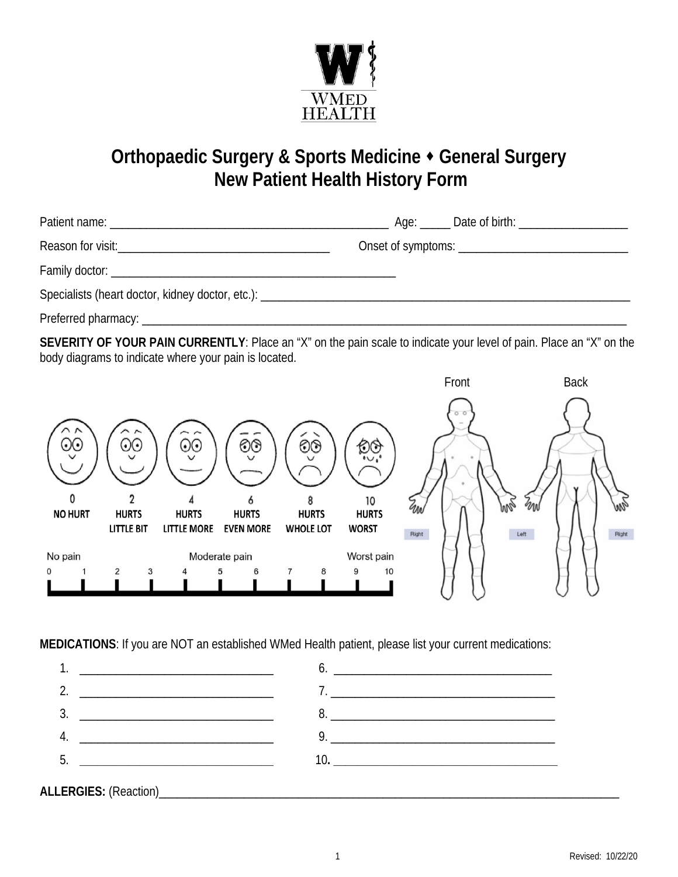

## **Orthopaedic Surgery & Sports Medicine General Surgery New Patient Health History Form**

Reason for visit:\_\_\_\_\_\_\_\_\_\_\_\_\_\_\_\_\_\_\_\_\_\_\_\_\_\_\_\_\_\_\_\_\_\_\_ Onset of symptoms: \_\_\_\_\_\_\_\_\_\_\_\_\_\_\_\_\_\_\_\_\_\_\_\_\_\_\_\_

Patient name: <br>
Patient name: 
and the set of patient name in the set of birth:  $\Box$  and  $\Box$  Date of birth:  $\Box$ 

Family doctor:  $\blacksquare$ 

Specialists (heart doctor, kidney doctor, etc.): \_\_\_\_\_\_\_\_\_\_\_\_\_\_\_\_\_\_\_\_\_\_\_\_\_\_\_\_\_\_\_\_\_\_\_\_\_\_\_\_\_\_\_\_\_\_\_\_\_\_\_\_\_\_\_\_\_\_\_\_\_

Preferred pharmacy:  $\blacksquare$ 

**SEVERITY OF YOUR PAIN CURRENTLY**: Place an "X" on the pain scale to indicate your level of pain. Place an "X" on the body diagrams to indicate where your pain is located.



**MEDICATIONS**: If you are NOT an established WMed Health patient, please list your current medications: